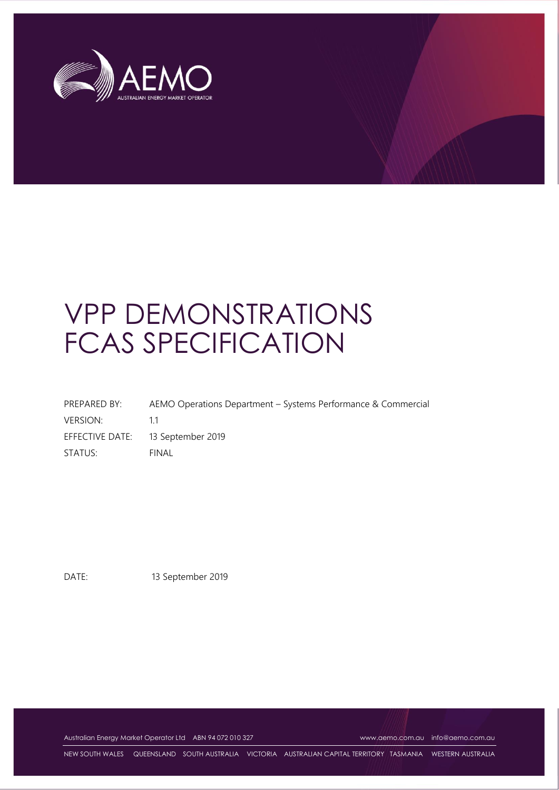

# VPP DEMONSTRATIONS FCAS SPECIFICATION

| PREPARED BY:    | AEMO Operations Department – Systems Performance & Commercial |
|-----------------|---------------------------------------------------------------|
| <b>VERSION:</b> | 11                                                            |
|                 | EFFECTIVE DATE: 13 September 2019                             |
| STATUS:         | <b>FINAL</b>                                                  |

DATE: 13 September 2019

Australian Energy Market Operator Ltd ABN 94 072 010 327 [www.aemo.com.au](http://www.aemo.com.au/) [info@aemo.com.au](mailto:info@aemo.com.au)

NEW SOUTH WALES QUEENSLAND SOUTH AUSTRALIA VICTORIA AUSTRALIAN CAPITAL TERRITORY TASMANIA WESTERN AUSTRALIA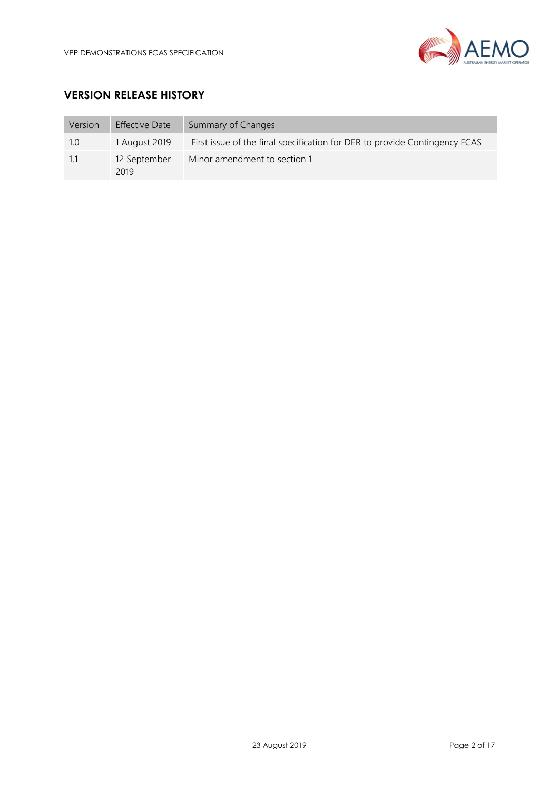

## **VERSION RELEASE HISTORY**

| Version | <b>Effective Date</b> | Summary of Changes                                                         |
|---------|-----------------------|----------------------------------------------------------------------------|
| 1.0     | 1 August 2019         | First issue of the final specification for DER to provide Contingency FCAS |
| 1.1     | 12 September<br>2019  | Minor amendment to section 1                                               |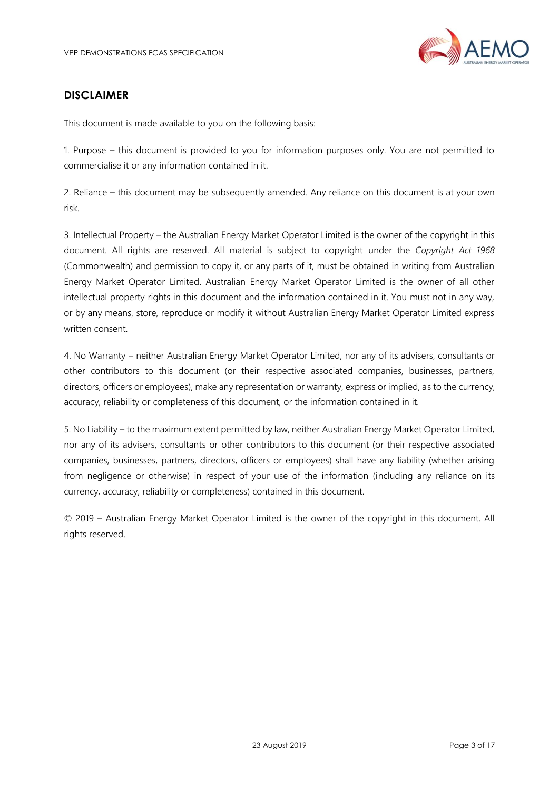

## **DISCLAIMER**

This document is made available to you on the following basis:

1. Purpose – this document is provided to you for information purposes only. You are not permitted to commercialise it or any information contained in it.

2. Reliance – this document may be subsequently amended. Any reliance on this document is at your own risk.

3. Intellectual Property – the Australian Energy Market Operator Limited is the owner of the copyright in this document. All rights are reserved. All material is subject to copyright under the *Copyright Act 1968*  (Commonwealth) and permission to copy it, or any parts of it, must be obtained in writing from Australian Energy Market Operator Limited. Australian Energy Market Operator Limited is the owner of all other intellectual property rights in this document and the information contained in it. You must not in any way, or by any means, store, reproduce or modify it without Australian Energy Market Operator Limited express written consent.

4. No Warranty – neither Australian Energy Market Operator Limited, nor any of its advisers, consultants or other contributors to this document (or their respective associated companies, businesses, partners, directors, officers or employees), make any representation or warranty, express or implied, as to the currency, accuracy, reliability or completeness of this document, or the information contained in it.

5. No Liability – to the maximum extent permitted by law, neither Australian Energy Market Operator Limited, nor any of its advisers, consultants or other contributors to this document (or their respective associated companies, businesses, partners, directors, officers or employees) shall have any liability (whether arising from negligence or otherwise) in respect of your use of the information (including any reliance on its currency, accuracy, reliability or completeness) contained in this document.

© 2019 – Australian Energy Market Operator Limited is the owner of the copyright in this document. All rights reserved.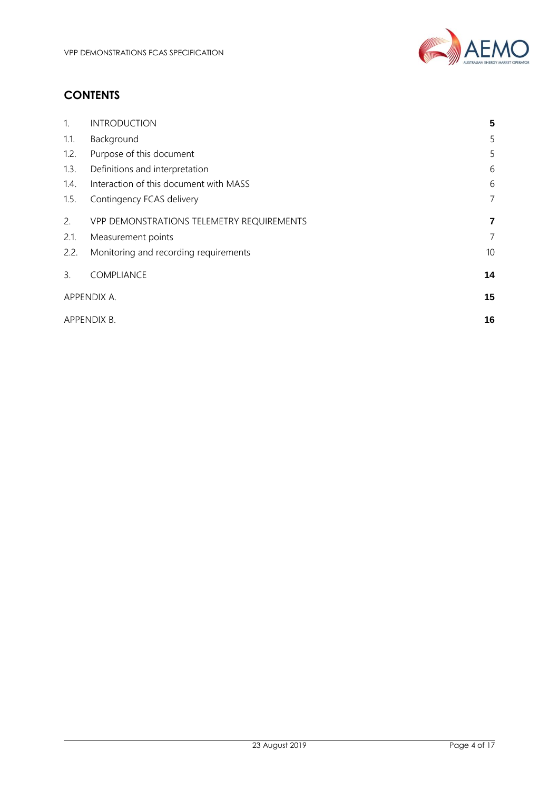

# **CONTENTS**

| $\mathbf{1}$ . | <b>INTRODUCTION</b>                       | 5  |
|----------------|-------------------------------------------|----|
| 1.1.           | Background                                | 5  |
| 1.2.           | Purpose of this document                  | 5  |
| 1.3.           | Definitions and interpretation            | 6  |
| 1.4.           | Interaction of this document with MASS    | 6  |
| 1.5.           | Contingency FCAS delivery                 | 7  |
| 2.             | VPP DEMONSTRATIONS TELEMETRY REQUIREMENTS | 7  |
| 2.1.           | Measurement points                        | 7  |
| 2.2.           | Monitoring and recording requirements     | 10 |
| $\mathbf{3}$ . | COMPLIANCE                                | 14 |
| APPENDIX A.    |                                           | 15 |
| APPENDIX B.    |                                           | 16 |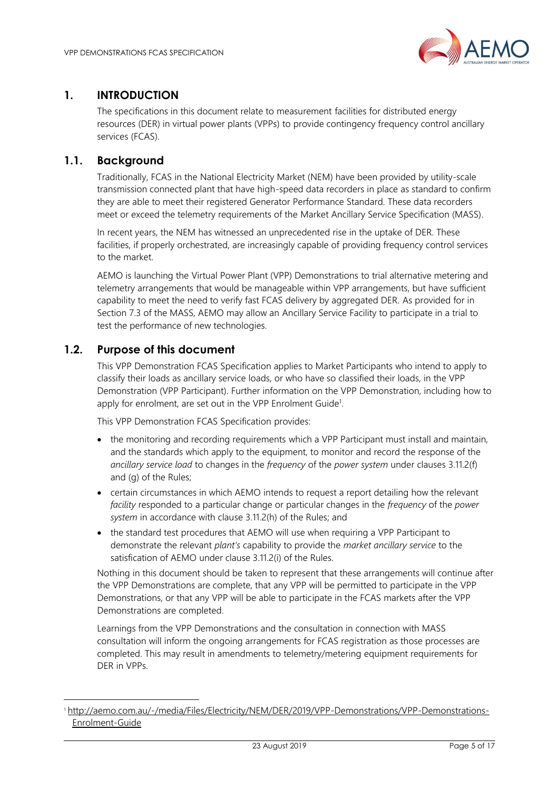

## <span id="page-4-0"></span>**1. INTRODUCTION**

The specifications in this document relate to measurement facilities for distributed energy resources (DER) in virtual power plants (VPPs) to provide contingency frequency control ancillary services (FCAS).

## <span id="page-4-1"></span>**1.1. Background**

Traditionally, FCAS in the National Electricity Market (NEM) have been provided by utility-scale transmission connected plant that have high-speed data recorders in place as standard to confirm they are able to meet their registered Generator Performance Standard. These data recorders meet or exceed the telemetry requirements of the Market Ancillary Service Specification (MASS).

In recent years, the NEM has witnessed an unprecedented rise in the uptake of DER. These facilities, if properly orchestrated, are increasingly capable of providing frequency control services to the market.

AEMO is launching the Virtual Power Plant (VPP) Demonstrations to trial alternative metering and telemetry arrangements that would be manageable within VPP arrangements, but have sufficient capability to meet the need to verify fast FCAS delivery by aggregated DER. As provided for in Section 7.3 of the MASS, AEMO may allow an Ancillary Service Facility to participate in a trial to test the performance of new technologies.

## <span id="page-4-2"></span>**1.2. Purpose of this document**

l

This VPP Demonstration FCAS Specification applies to Market Participants who intend to apply to classify their loads as ancillary service loads, or who have so classified their loads, in the VPP Demonstration (VPP Participant). Further information on the VPP Demonstration, including how to apply for enrolment, are set out in the VPP Enrolment Guide<sup>1</sup>.

This VPP Demonstration FCAS Specification provides:

- the monitoring and recording requirements which a VPP Participant must install and maintain, and the standards which apply to the equipment, to monitor and record the response of the *ancillary service load* to changes in the *frequency* of the *power system* under clauses 3.11.2(f) and (g) of the Rules;
- certain circumstances in which AEMO intends to request a report detailing how the relevant *facility* responded to a particular change or particular changes in the *frequency* of the *power system* in accordance with clause 3.11.2(h) of the Rules; and
- the standard test procedures that AEMO will use when requiring a VPP Participant to demonstrate the relevant *plant's* capability to provide the *market ancillary service* to the satisfication of AEMO under clause 3.11.2(i) of the Rules.

Nothing in this document should be taken to represent that these arrangements will continue after the VPP Demonstrations are complete, that any VPP will be permitted to participate in the VPP Demonstrations, or that any VPP will be able to participate in the FCAS markets after the VPP Demonstrations are completed.

Learnings from the VPP Demonstrations and the consultation in connection with MASS consultation will inform the ongoing arrangements for FCAS registration as those processes are completed. This may result in amendments to telemetry/metering equipment requirements for DER in VPPs.

<sup>1</sup> [http://aemo.com.au/-/media/Files/Electricity/NEM/DER/2019/VPP-Demonstrations/VPP-Demonstrations-](http://aemo.com.au/-/media/Files/Electricity/NEM/DER/2019/VPP-Demonstrations/VPP-Demonstrations-Enrolment-Guide)[Enrolment-Guide](http://aemo.com.au/-/media/Files/Electricity/NEM/DER/2019/VPP-Demonstrations/VPP-Demonstrations-Enrolment-Guide)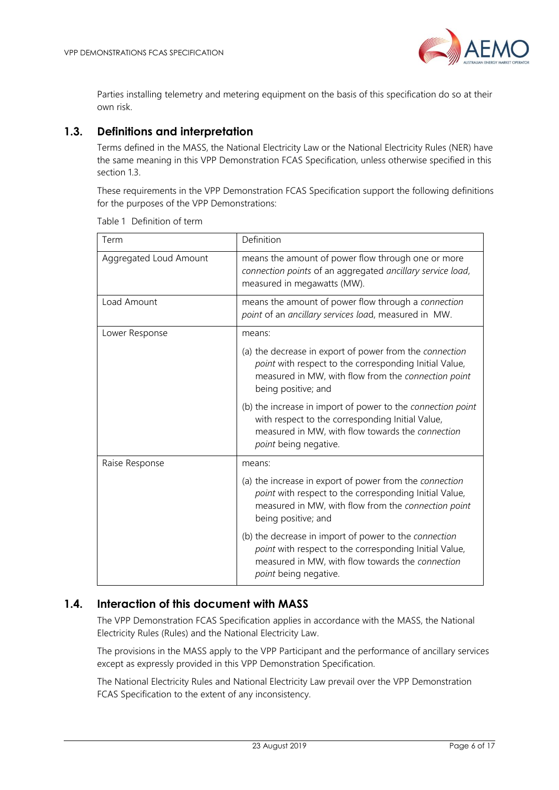

Parties installing telemetry and metering equipment on the basis of this specification do so at their own risk.

## <span id="page-5-0"></span>**1.3. Definitions and interpretation**

Terms defined in the MASS, the National Electricity Law or the National Electricity Rules (NER) have the same meaning in this VPP Demonstration FCAS Specification, unless otherwise specified in this section 1.3.

These requirements in the VPP Demonstration FCAS Specification support the following definitions for the purposes of the VPP Demonstrations:

| Term                   | Definition                                                                                                                                                                                      |  |
|------------------------|-------------------------------------------------------------------------------------------------------------------------------------------------------------------------------------------------|--|
| Aggregated Loud Amount | means the amount of power flow through one or more<br>connection points of an aggregated ancillary service load,<br>measured in megawatts (MW).                                                 |  |
| Load Amount            | means the amount of power flow through a connection<br>point of an ancillary services load, measured in MW.                                                                                     |  |
| Lower Response         | means:                                                                                                                                                                                          |  |
|                        | (a) the decrease in export of power from the connection<br>point with respect to the corresponding Initial Value,<br>measured in MW, with flow from the connection point<br>being positive; and |  |
|                        | (b) the increase in import of power to the connection point<br>with respect to the corresponding Initial Value,<br>measured in MW, with flow towards the connection<br>point being negative.    |  |
| Raise Response         | means:                                                                                                                                                                                          |  |
|                        | (a) the increase in export of power from the connection<br>point with respect to the corresponding Initial Value,<br>measured in MW, with flow from the connection point<br>being positive; and |  |
|                        | (b) the decrease in import of power to the connection<br>point with respect to the corresponding Initial Value,<br>measured in MW, with flow towards the connection<br>point being negative.    |  |

Table 1 Definition of term

## <span id="page-5-1"></span>**1.4. Interaction of this document with MASS**

The VPP Demonstration FCAS Specification applies in accordance with the MASS, the National Electricity Rules (Rules) and the National Electricity Law.

The provisions in the MASS apply to the VPP Participant and the performance of ancillary services except as expressly provided in this VPP Demonstration Specification.

The National Electricity Rules and National Electricity Law prevail over the VPP Demonstration FCAS Specification to the extent of any inconsistency.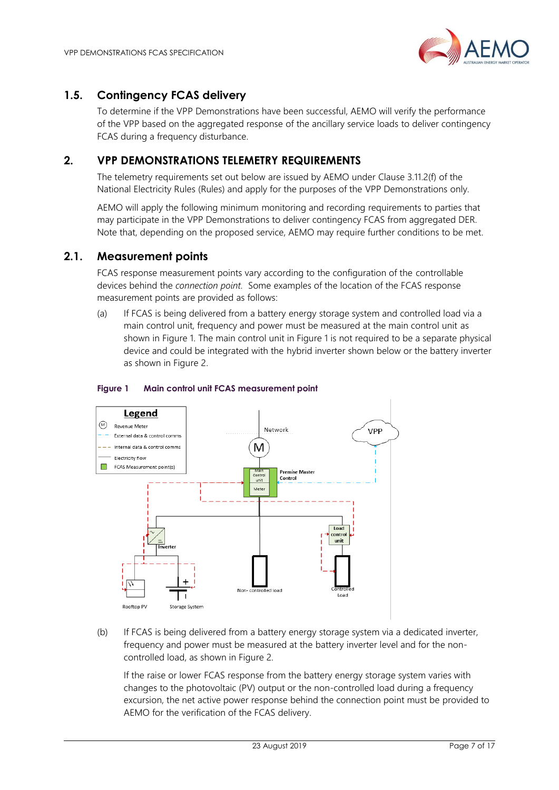

## <span id="page-6-0"></span>**1.5. Contingency FCAS delivery**

To determine if the VPP Demonstrations have been successful, AEMO will verify the performance of the VPP based on the aggregated response of the ancillary service loads to deliver contingency FCAS during a frequency disturbance.

## <span id="page-6-1"></span>**2. VPP DEMONSTRATIONS TELEMETRY REQUIREMENTS**

The telemetry requirements set out below are issued by AEMO under Clause 3.11.2(f) of the National Electricity Rules (Rules) and apply for the purposes of the VPP Demonstrations only.

AEMO will apply the following minimum monitoring and recording requirements to parties that may participate in the VPP Demonstrations to deliver contingency FCAS from aggregated DER. Note that, depending on the proposed service, AEMO may require further conditions to be met.

### <span id="page-6-2"></span>**2.1. Measurement points**

FCAS response measurement points vary according to the configuration of the controllable devices behind the *connection point.* Some examples of the location of the FCAS response measurement points are provided as follows:

(a) If FCAS is being delivered from a battery energy storage system and controlled load via a main control unit, frequency and power must be measured at the main control unit as shown in Figure 1. The main control unit in Figure 1 is not required to be a separate physical device and could be integrated with the hybrid inverter shown below or the battery inverter as shown in Figure 2.



#### **Figure 1 Main control unit FCAS measurement point**

(b) If FCAS is being delivered from a battery energy storage system via a dedicated inverter, frequency and power must be measured at the battery inverter level and for the noncontrolled load, as shown in Figure 2.

If the raise or lower FCAS response from the battery energy storage system varies with changes to the photovoltaic (PV) output or the non-controlled load during a frequency excursion, the net active power response behind the connection point must be provided to AEMO for the verification of the FCAS delivery.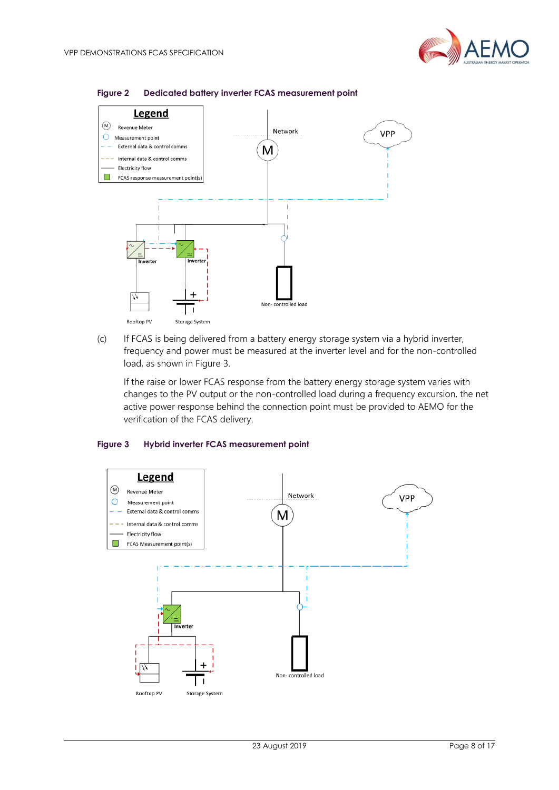



#### **Figure 2 Dedicated battery inverter FCAS measurement point**

(c) If FCAS is being delivered from a battery energy storage system via a hybrid inverter, frequency and power must be measured at the inverter level and for the non-controlled load, as shown in Figure 3.

If the raise or lower FCAS response from the battery energy storage system varies with changes to the PV output or the non-controlled load during a frequency excursion, the net active power response behind the connection point must be provided to AEMO for the verification of the FCAS delivery.

#### **Figure 3 Hybrid inverter FCAS measurement point**

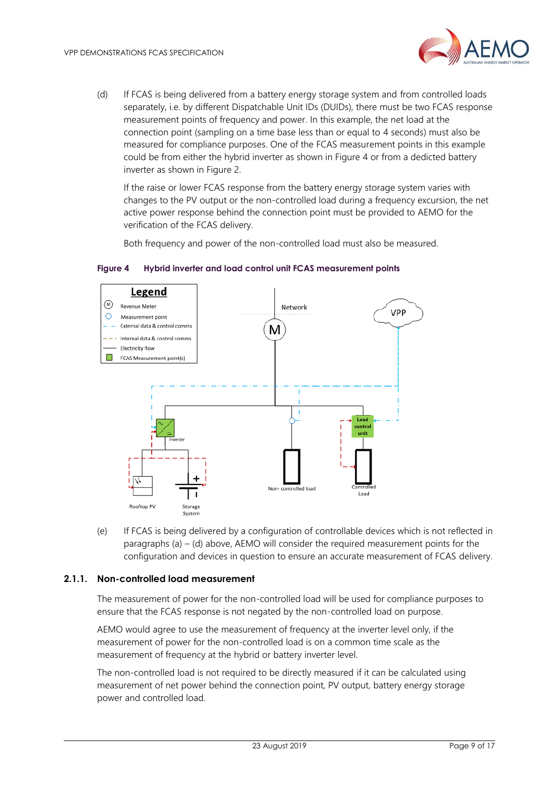

(d) If FCAS is being delivered from a battery energy storage system and from controlled loads separately, i.e. by different Dispatchable Unit IDs (DUIDs), there must be two FCAS response measurement points of frequency and power. In this example, the net load at the connection point (sampling on a time base less than or equal to 4 seconds) must also be measured for compliance purposes. One of the FCAS measurement points in this example could be from either the hybrid inverter as shown in Figure 4 or from a dedicted battery inverter as shown in Figure 2.

If the raise or lower FCAS response from the battery energy storage system varies with changes to the PV output or the non-controlled load during a frequency excursion, the net active power response behind the connection point must be provided to AEMO for the verification of the FCAS delivery.

Both frequency and power of the non-controlled load must also be measured.



**Figure 4 Hybrid inverter and load control unit FCAS measurement points**

(e) If FCAS is being delivered by a configuration of controllable devices which is not reflected in paragraphs (a)  $-$  (d) above, AEMO will consider the required measurement points for the configuration and devices in question to ensure an accurate measurement of FCAS delivery.

#### **2.1.1. Non-controlled load measurement**

The measurement of power for the non-controlled load will be used for compliance purposes to ensure that the FCAS response is not negated by the non-controlled load on purpose.

AEMO would agree to use the measurement of frequency at the inverter level only, if the measurement of power for the non-controlled load is on a common time scale as the measurement of frequency at the hybrid or battery inverter level.

The non-controlled load is not required to be directly measured if it can be calculated using measurement of net power behind the connection point, PV output, battery energy storage power and controlled load.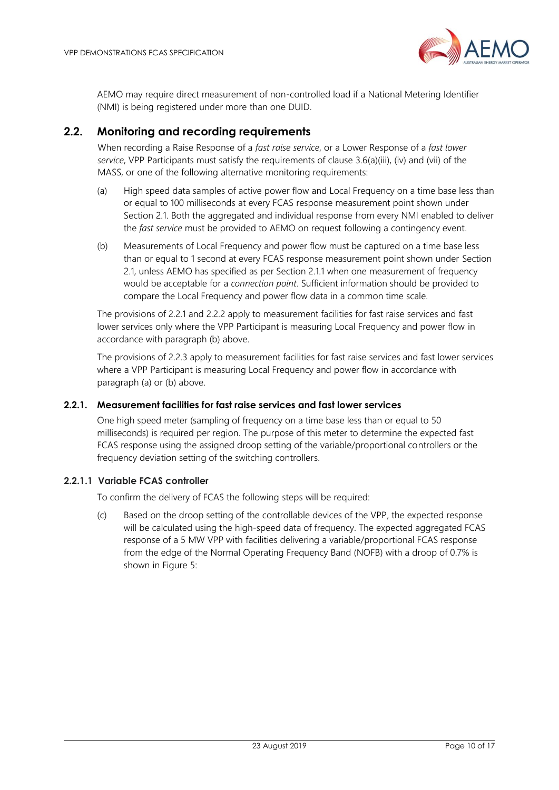

AEMO may require direct measurement of non-controlled load if a National Metering Identifier (NMI) is being registered under more than one DUID.

## <span id="page-9-0"></span>**2.2. Monitoring and recording requirements**

When recording a Raise Response of a *fast raise service*, or a Lower Response of a *fast lower service*, VPP Participants must satisfy the requirements of clause 3.6(a)(iii), (iv) and (vii) of the MASS, or one of the following alternative monitoring requirements:

- (a) High speed data samples of active power flow and Local Frequency on a time base less than or equal to 100 milliseconds at every FCAS response measurement point shown under Section 2.1. Both the aggregated and individual response from every NMI enabled to deliver the *fast service* must be provided to AEMO on request following a contingency event.
- (b) Measurements of Local Frequency and power flow must be captured on a time base less than or equal to 1 second at every FCAS response measurement point shown under Section 2.1, unless AEMO has specified as per Section 2.1.1 when one measurement of frequency would be acceptable for a *connection point*. Sufficient information should be provided to compare the Local Frequency and power flow data in a common time scale.

The provisions of 2.2.1 and 2.2.2 apply to measurement facilities for fast raise services and fast lower services only where the VPP Participant is measuring Local Frequency and power flow in accordance with paragraph (b) above.

The provisions of 2.2.3 apply to measurement facilities for fast raise services and fast lower services where a VPP Participant is measuring Local Frequency and power flow in accordance with paragraph (a) or (b) above.

#### **2.2.1. Measurement facilities for fast raise services and fast lower services**

One high speed meter (sampling of frequency on a time base less than or equal to 50 milliseconds) is required per region. The purpose of this meter to determine the expected fast FCAS response using the assigned droop setting of the variable/proportional controllers or the frequency deviation setting of the switching controllers.

#### **2.2.1.1 Variable FCAS controller**

To confirm the delivery of FCAS the following steps will be required:

(c) Based on the droop setting of the controllable devices of the VPP, the expected response will be calculated using the high-speed data of frequency. The expected aggregated FCAS response of a 5 MW VPP with facilities delivering a variable/proportional FCAS response from the edge of the Normal Operating Frequency Band (NOFB) with a droop of 0.7% is shown in Figure 5: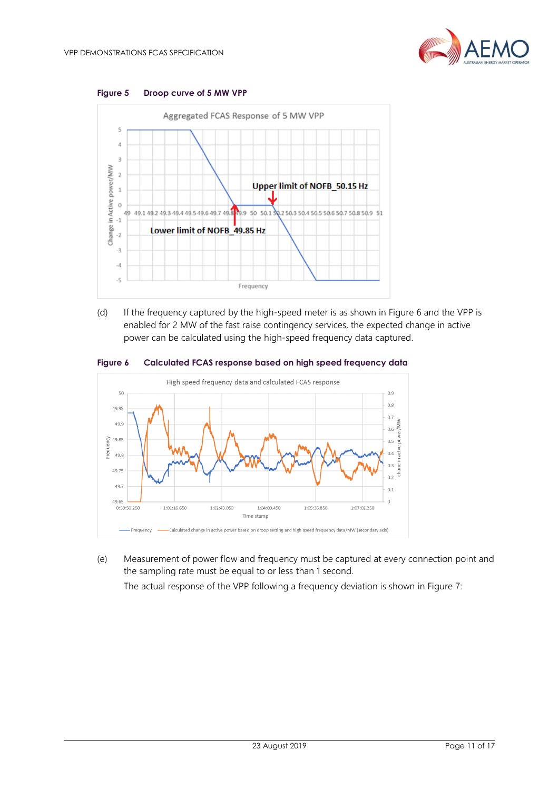



(d) If the frequency captured by the high-speed meter is as shown in Figure 6 and the VPP is enabled for 2 MW of the fast raise contingency services, the expected change in active power can be calculated using the high-speed frequency data captured.





(e) Measurement of power flow and frequency must be captured at every connection point and the sampling rate must be equal to or less than 1 second.

The actual response of the VPP following a frequency deviation is shown in Figure 7: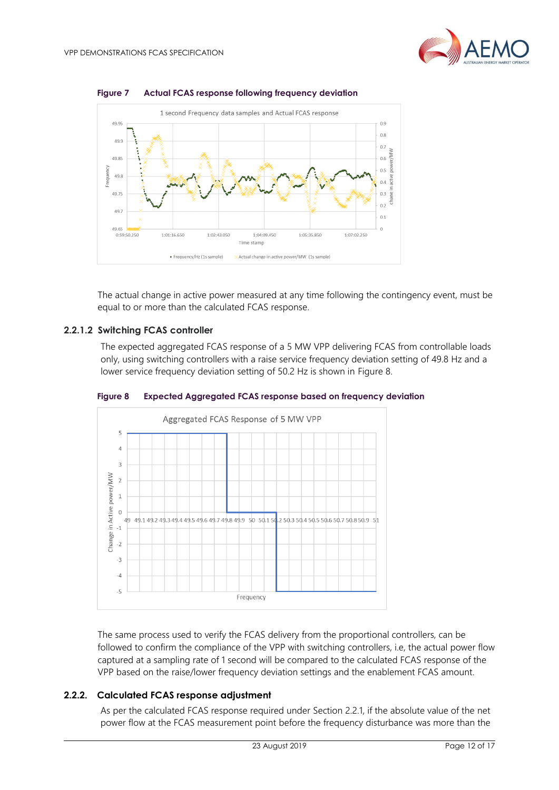



**Figure 7 Actual FCAS response following frequency deviation**

The actual change in active power measured at any time following the contingency event, must be equal to or more than the calculated FCAS response.

#### **2.2.1.2 Switching FCAS controller**

The expected aggregated FCAS response of a 5 MW VPP delivering FCAS from controllable loads only, using switching controllers with a raise service frequency deviation setting of 49.8 Hz and a lower service frequency deviation setting of 50.2 Hz is shown in Figure 8.



**Figure 8 Expected Aggregated FCAS response based on frequency deviation**

The same process used to verify the FCAS delivery from the proportional controllers, can be followed to confirm the compliance of the VPP with switching controllers, i.e, the actual power flow captured at a sampling rate of 1 second will be compared to the calculated FCAS response of the VPP based on the raise/lower frequency deviation settings and the enablement FCAS amount.

#### **2.2.2. Calculated FCAS response adjustment**

As per the calculated FCAS response required under Section 2.2.1, if the absolute value of the net power flow at the FCAS measurement point before the frequency disturbance was more than the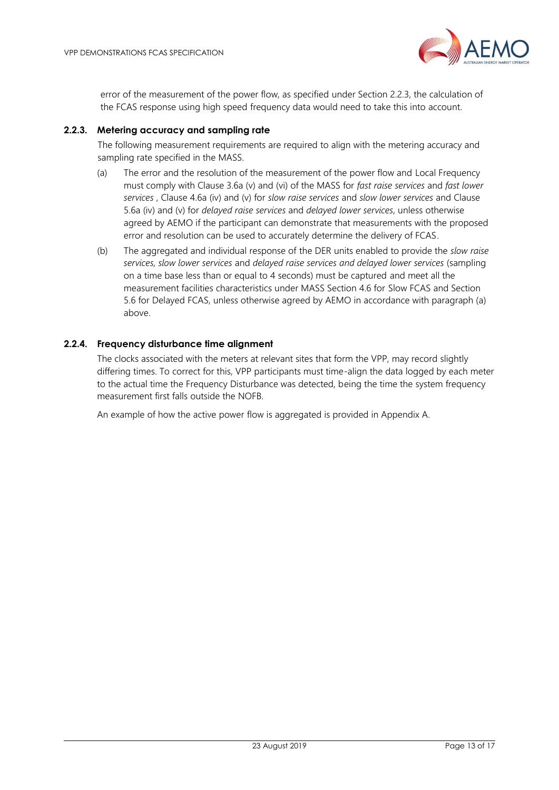

error of the measurement of the power flow, as specified under Section 2.2.3, the calculation of the FCAS response using high speed frequency data would need to take this into account.

#### **2.2.3. Metering accuracy and sampling rate**

The following measurement requirements are required to align with the metering accuracy and sampling rate specified in the MASS.

- (a) The error and the resolution of the measurement of the power flow and Local Frequency must comply with Clause 3.6a (v) and (vi) of the MASS for *fast raise services* and *fast lower services* , Clause 4.6a (iv) and (v) for *slow raise services* and *slow lower services* and Clause 5.6a (iv) and (v) for *delayed raise services* and *delayed lower services*, unless otherwise agreed by AEMO if the participant can demonstrate that measurements with the proposed error and resolution can be used to accurately determine the delivery of FCAS.
- (b) The aggregated and individual response of the DER units enabled to provide the *slow raise services, slow lower services* and *delayed raise services and delayed lower services* (sampling on a time base less than or equal to 4 seconds) must be captured and meet all the measurement facilities characteristics under MASS Section 4.6 for Slow FCAS and Section 5.6 for Delayed FCAS, unless otherwise agreed by AEMO in accordance with paragraph (a) above.

#### **2.2.4. Frequency disturbance time alignment**

The clocks associated with the meters at relevant sites that form the VPP, may record slightly differing times. To correct for this, VPP participants must time-align the data logged by each meter to the actual time the Frequency Disturbance was detected, being the time the system frequency measurement first falls outside the NOFB.

An example of how the active power flow is aggregated is provided in Appendix A.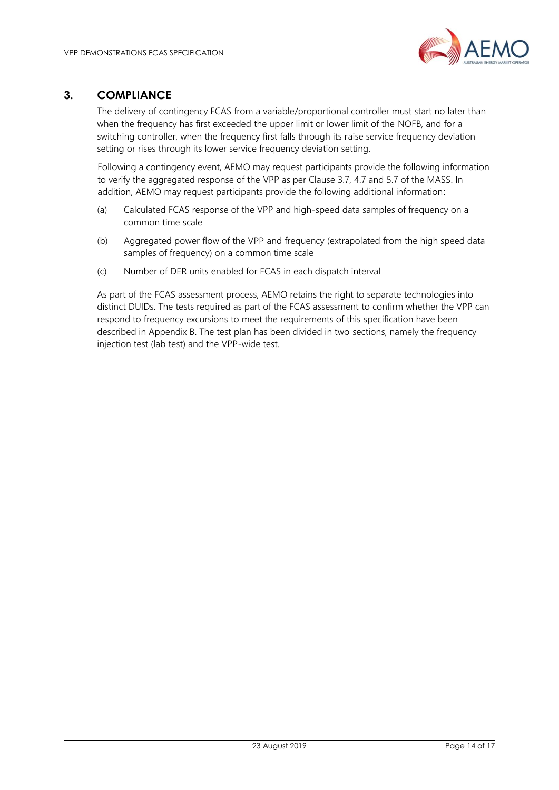

## <span id="page-13-0"></span>**3. COMPLIANCE**

The delivery of contingency FCAS from a variable/proportional controller must start no later than when the frequency has first exceeded the upper limit or lower limit of the NOFB, and for a switching controller, when the frequency first falls through its raise service frequency deviation setting or rises through its lower service frequency deviation setting.

Following a contingency event, AEMO may request participants provide the following information to verify the aggregated response of the VPP as per Clause 3.7, 4.7 and 5.7 of the MASS. In addition, AEMO may request participants provide the following additional information:

- (a) Calculated FCAS response of the VPP and high-speed data samples of frequency on a common time scale
- (b) Aggregated power flow of the VPP and frequency (extrapolated from the high speed data samples of frequency) on a common time scale
- (c) Number of DER units enabled for FCAS in each dispatch interval

As part of the FCAS assessment process, AEMO retains the right to separate technologies into distinct DUIDs. The tests required as part of the FCAS assessment to confirm whether the VPP can respond to frequency excursions to meet the requirements of this specification have been described in Appendix B. The test plan has been divided in two sections, namely the frequency injection test (lab test) and the VPP-wide test.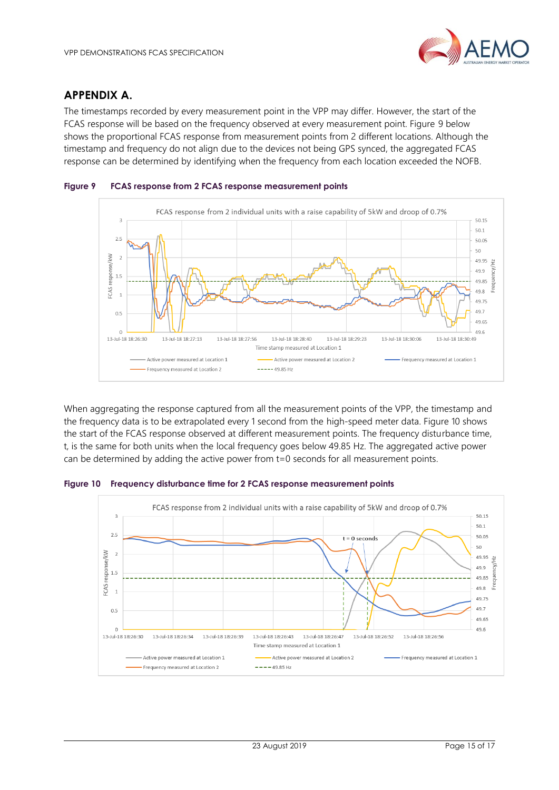

## <span id="page-14-0"></span>**APPENDIX A.**

The timestamps recorded by every measurement point in the VPP may differ. However, the start of the FCAS response will be based on the frequency observed at every measurement point. Figure 9 below shows the proportional FCAS response from measurement points from 2 different locations. Although the timestamp and frequency do not align due to the devices not being GPS synced, the aggregated FCAS response can be determined by identifying when the frequency from each location exceeded the NOFB.





When aggregating the response captured from all the measurement points of the VPP, the timestamp and the frequency data is to be extrapolated every 1 second from the high-speed meter data. Figure 10 shows the start of the FCAS response observed at different measurement points. The frequency disturbance time, t, is the same for both units when the local frequency goes below 49.85 Hz. The aggregated active power can be determined by adding the active power from t=0 seconds for all measurement points.

**Figure 10 Frequency disturbance time for 2 FCAS response measurement points**

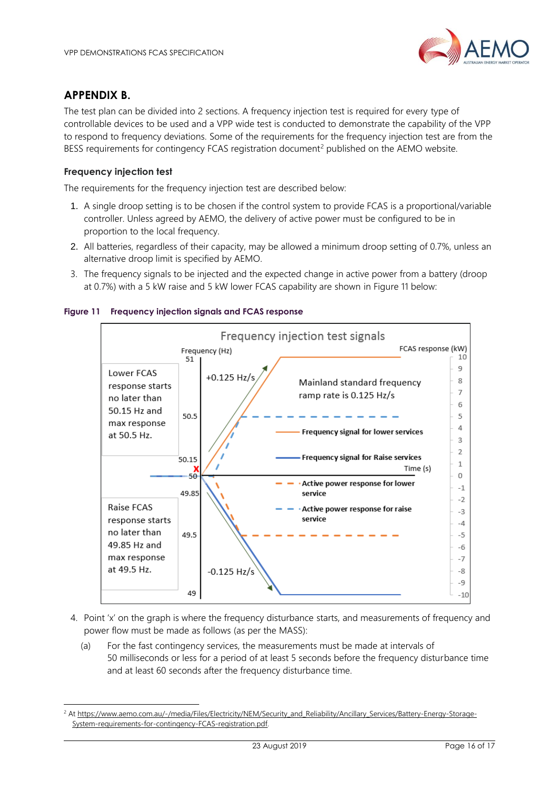## <span id="page-15-0"></span>**APPENDIX B.**

l

The test plan can be divided into 2 sections. A frequency injection test is required for every type of controllable devices to be used and a VPP wide test is conducted to demonstrate the capability of the VPP to respond to frequency deviations. Some of the requirements for the frequency injection test are from the BESS requirements for contingency FCAS registration document<sup>2</sup> published on the AEMO website.

#### **Frequency injection test**

The requirements for the frequency injection test are described below:

- 1. A single droop setting is to be chosen if the control system to provide FCAS is a proportional/variable controller. Unless agreed by AEMO, the delivery of active power must be configured to be in proportion to the local frequency.
- 2. All batteries, regardless of their capacity, may be allowed a minimum droop setting of 0.7%, unless an alternative droop limit is specified by AEMO.
- 3. The frequency signals to be injected and the expected change in active power from a battery (droop at 0.7%) with a 5 kW raise and 5 kW lower FCAS capability are shown in Figure 11 below:



#### **Figure 11 Frequency injection signals and FCAS response**

- 4. Point 'x' on the graph is where the frequency disturbance starts, and measurements of frequency and power flow must be made as follows (as per the MASS):
	- (a) For the fast contingency services, the measurements must be made at intervals of 50 milliseconds or less for a period of at least 5 seconds before the frequency disturbance time and at least 60 seconds after the frequency disturbance time.

<sup>&</sup>lt;sup>2</sup> A[t https://www.aemo.com.au/-/media/Files/Electricity/NEM/Security\\_and\\_Reliability/Ancillary\\_Services/Battery-Energy-Storage-](https://www.aemo.com.au/-/media/Files/Electricity/NEM/Security_and_Reliability/Ancillary_Services/Battery-Energy-Storage-System-requirements-for-contingency-FCAS-registration.pdf)[System-requirements-for-contingency-FCAS-registration.pdf.](https://www.aemo.com.au/-/media/Files/Electricity/NEM/Security_and_Reliability/Ancillary_Services/Battery-Energy-Storage-System-requirements-for-contingency-FCAS-registration.pdf)